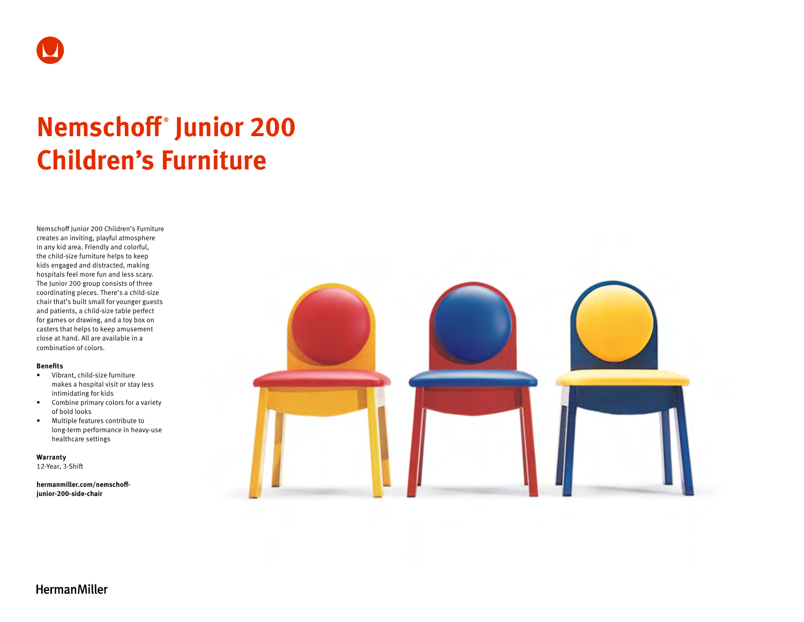

# **Nemschoff ® Junior 200 Children's Furniture**

Nemschoff Junior 200 Children's Furniture creates an inviting, playful atmosphere in any kid area. Friendly and colorful, the child-size furniture helps to keep kids engaged and distracted, making hospitals feel more fun and less scary. The Junior 200 group consists of three coordinating pieces. There's a child-size chair that's built small for younger guests and patients, a child-size table perfect for games or drawing, and a toy box on casters that helps to keep amusement close at hand. All are available in a combination of colors.

#### **Benefits**

- Vibrant, child-size furniture makes a hospital visit or stay less intimidating for kids
- Combine primary colors for a variety of bold looks
- Multiple features contribute to long-term performance in heavy-use healthcare settings

**Warranty**  12-Year, 3-Shift

**[hermanmiller.com/nemschoff-](http://hermanmiller.com/nemschoff-junior-200-side-chair)**

**[junior-200-side-c](http://hermanmiller.com/nemschoff-junior-200-side-chair)hair**